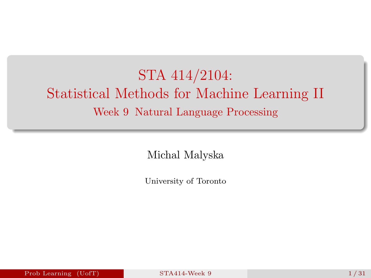# <span id="page-0-0"></span>STA 414/2104: Statistical Methods for Machine Learning II Week 9 Natural Language Processing

Michal Malyska

University of Toronto

Prob Learning (UofT) [STA414-Week 9](#page-30-0) 1/31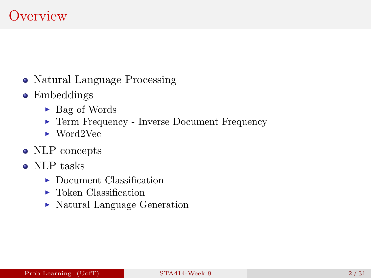## **Overview**

- Natural Language Processing
- Embeddings
	- $\blacktriangleright$  Bag of Words
	- ▶ Term Frequency Inverse Document Frequency
	- $\blacktriangleright$  Word2Vec
- NLP concepts
- NLP tasks
	- $\blacktriangleright$  Document Classification
	- $\blacktriangleright$  Token Classification
	- Natural Language Generation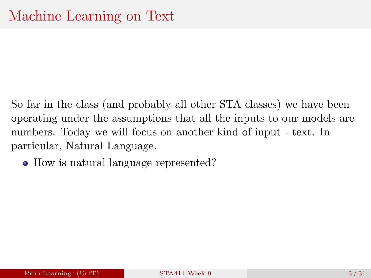- So far in the class (and probably all other STA classes) we have been operating under the assumptions that all the inputs to our models are numbers. Today we will focus on another kind of input - text. In particular, Natural Language.
	- How is natural language represented?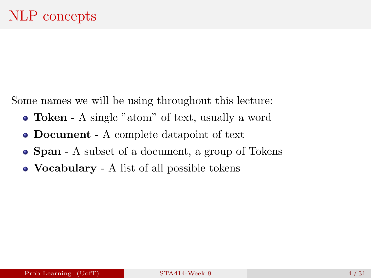Some names we will be using throughout this lecture:

- Token A single "atom" of text, usually a word
- Document A complete datapoint of text
- **Span** A subset of a document, a group of Tokens
- **Vocabulary** A list of all possible tokens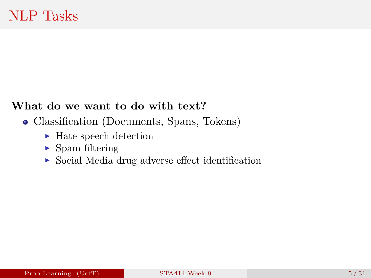#### What do we want to do with text?

- Classification (Documents, Spans, Tokens)
	- $\blacktriangleright$  Hate speech detection
	- $\blacktriangleright$  Spam filtering
	- $\triangleright$  Social Media drug adverse effect identification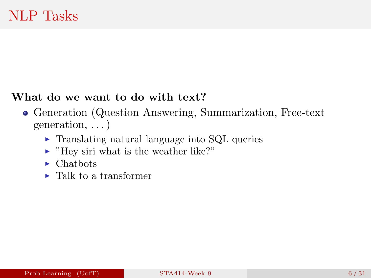#### What do we want to do with text?

- Generation (Question Answering, Summarization, Free-text generation, . . . )
	- $\triangleright$  Translating natural language into SQL queries
	- $\blacktriangleright$  "Hey siri what is the weather like?"
	- $\blacktriangleright$  Chatbots
	- $\blacktriangleright$  [Talk to a transformer](https://transformer.huggingface.co/doc/gpt2-large)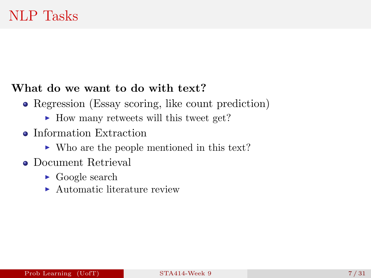#### What do we want to do with text?

- Regression (Essay scoring, like count prediction)
	- $\blacktriangleright$  How many retweets will this tweet get?
- **•** Information Extraction
	- ► Who are the people mentioned in this text?
- Document Retrieval
	- $\triangleright$  Google search
	- $\blacktriangleright$  Automatic literature review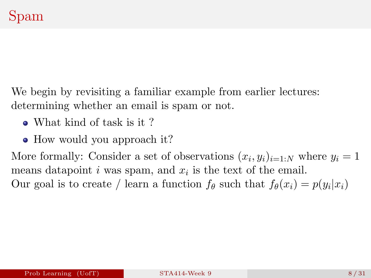We begin by revisiting a familiar example from earlier lectures: determining whether an email is spam or not.

- What kind of task is it?
- How would you approach it?

More formally: Consider a set of observations  $(x_i, y_i)_{i=1:N}$  where  $y_i = 1$ means datapoint  $i$  was spam, and  $x_i$  is the text of the email. Our goal is to create / learn a function  $f_{\theta}$  such that  $f_{\theta}(x_i) = p(y_i|x_i)$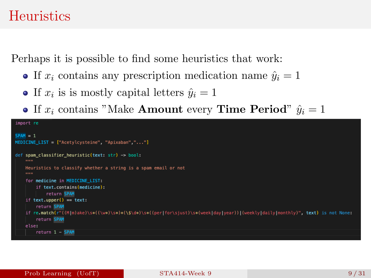#### **Heuristics**

Perhaps it is possible to find some heuristics that work:

- If  $x_i$  contains any prescription medication name  $\hat{y}_i = 1$
- If  $x_i$  is is mostly capital letters  $\hat{y}_i = 1$
- If  $x_i$  contains "Make **Amount** every **Time Period**"  $\hat{y}_i = 1$

```
import re
SPAM = 1MEDICINE LIST = ["Acetylcysteine", "Apixaban","..."]
def spam_classifier_heuristic(text: str) -> bool:
   Heuristics to classify whether a string is a spam email or not
   1000for medicine in MEDICINE LIST:
        if text.contains(medicine):
            return SPAM
   if text.upper() == text:return SPAM
   if re.match(r"((M|m)ake)\s*((\w*)\s*)*(\$\d*)\s*((per|for\sjust)\s*(week|day|year))|(weekly|daily|monthly)", text) is not None:
        return SPAM
   else:
        return 1 - SPAM
```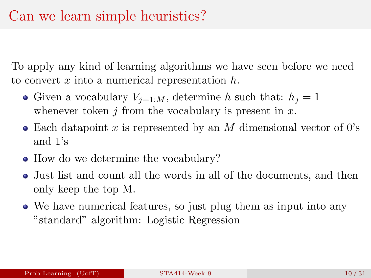To apply any kind of learning algorithms we have seen before we need to convert  $x$  into a numerical representation  $h$ .

- Given a vocabulary  $V_{i=1:M}$ , determine h such that:  $h_i = 1$ whenever token  $i$  from the vocabulary is present in  $x$ .
- Each datapoint x is represented by an M dimensional vector of 0's and 1's
- How do we determine the vocabulary?
- Just list and count all the words in all of the documents, and then only keep the top M.
- We have numerical features, so just plug them as input into any "standard" algorithm: Logistic Regression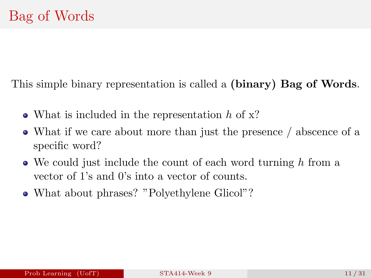This simple binary representation is called a (binary) Bag of Words.

- What is included in the representation  $h$  of  $x$ ?
- What if we care about more than just the presence / abscence of a specific word?
- $\bullet$  We could just include the count of each word turning h from a vector of 1's and 0's into a vector of counts.
- What about phrases? "Polyethylene Glicol"?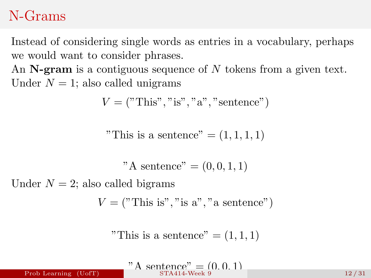#### N-Grams

Instead of considering single words as entries in a vocabulary, perhaps we would want to consider phrases.

An  $N$ -gram is a contiguous sequence of  $N$  tokens from a given text. Under  $N = 1$ ; also called unigrams

$$
V = ("This", "is", "a", "sentence")
$$

"This is a sentence"  $=(1,1,1,1)$ 

"A sentence"  $= (0, 0, 1, 1)$ 

Under  $N = 2$ ; also called bigrams

 $V = ("This is", "is a", "a sentence")$ 

"This is a sentence"  $=(1,1,1)$ 

 $A \text{ sentence} = (0, 0, 1)$ <br> $STA414\text{-Week 9}$ Prob Learning (UofT) [STA414-Week 9](#page-0-0) 12 / 31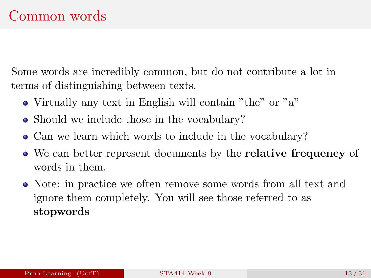Some words are incredibly common, but do not contribute a lot in terms of distinguishing between texts.

- Virtually any text in English will contain "the" or "a"
- Should we include those in the vocabulary?
- Can we learn which words to include in the vocabulary?
- We can better represent documents by the **relative frequency** of words in them.
- Note: in practice we often remove some words from all text and ignore them completely. You will see those referred to as stopwords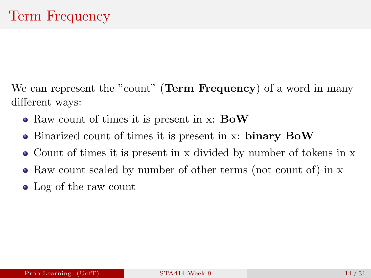We can represent the "count" (Term Frequency) of a word in many different ways:

- Raw count of times it is present in x: **BoW**
- Binarized count of times it is present in x: binary BoW
- Count of times it is present in x divided by number of tokens in x
- Raw count scaled by number of other terms (not count of) in x
- Log of the raw count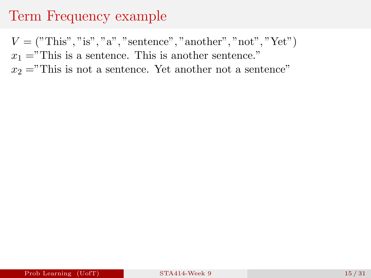## Term Frequency example

 $V = ("This", "is", "a", "sentence", "another", "not", "Yet")$  $x_1 =$ "This is a sentence. This is another sentence."  $x_2 =$ "This is not a sentence. Yet another not a sentence"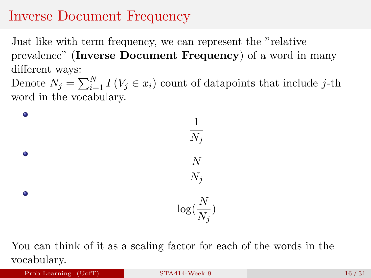#### Inverse Document Frequency

Just like with term frequency, we can represent the "relative prevalence" (Inverse Document Frequency) of a word in many different ways:

Denote  $N_j = \sum_{i=1}^N I(V_j \in x_i)$  count of datapoints that include j-th word in the vocabulary.

 $\bullet$ 1  $N_j$  $\bullet$ N  $N_j$  $\bullet$  $\log(\frac{N}{N})$  $\frac{1}{N_j})$ 

You can think of it as a scaling factor for each of the words in the vocabulary.

Prob Learning (UofT) [STA414-Week 9](#page-0-0) 16/31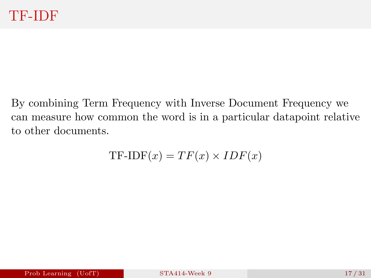By combining Term Frequency with Inverse Document Frequency we can measure how common the word is in a particular datapoint relative to other documents.

$$
TF-IDF(x) = TF(x) \times IDF(x)
$$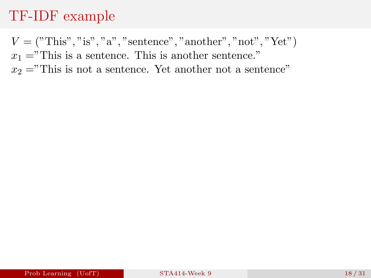#### TF-IDF example

 $V = ("This", "is", "a", "sentence", "another", "not", "Yet")$  $x_1 =$ "This is a sentence. This is another sentence."  $x_2 =$ "This is not a sentence. Yet another not a sentence"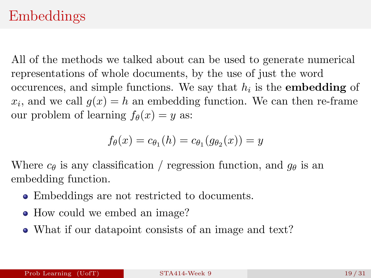### Embeddings

All of the methods we talked about can be used to generate numerical representations of whole documents, by the use of just the word occurences, and simple functions. We say that  $h_i$  is the **embedding** of  $x_i$ , and we call  $g(x) = h$  an embedding function. We can then re-frame our problem of learning  $f_{\theta}(x) = y$  as:

$$
f_{\theta}(x) = c_{\theta_1}(h) = c_{\theta_1}(g_{\theta_2}(x)) = y
$$

Where  $c_{\theta}$  is any classification / regression function, and  $q_{\theta}$  is an embedding function.

- Embeddings are not restricted to documents.
- How could we embed an image?
- What if our datapoint consists of an image and text?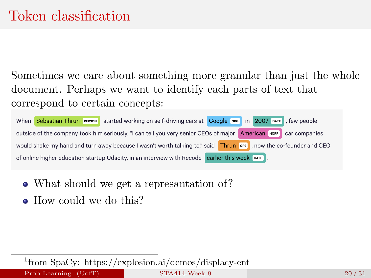Sometimes we care about something more granular than just the whole document. Perhaps we want to identify each parts of text that correspond to certain concepts:

| When Sebastian Thrun PERSON started working on self-driving cars at Google ORO In 2007 DATE , few people          |
|-------------------------------------------------------------------------------------------------------------------|
| outside of the company took him seriously. "I can tell you very senior CEOs of major American NORP car companies  |
| would shake my hand and turn away because I wasn't worth talking to," said Thrun OPE , now the co-founder and CEO |
| of online higher education startup Udacity, in an interview with Recode earlier this week DATE.                   |

- What should we get a represantation of?
- How could we do this?

1 from SpaCy: https://explosion.ai/demos/displacy-ent Prob Learning (UofT) [STA414-Week 9](#page-0-0) 20 / 31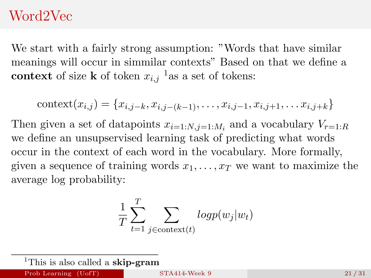#### Word2Vec

We start with a fairly strong assumption: "Words that have similar meanings will occur in simmilar contexts" Based on that we define a context of size **k** of token  $x_{i,j}$ <sup>1</sup> as a set of tokens:

context
$$
(x_{i,j}) = \{x_{i,j-k}, x_{i,j-(k-1)}, \ldots, x_{i,j-1}, x_{i,j+1}, \ldots, x_{i,j+k}\}\
$$

Then given a set of datapoints  $x_{i=1:N,j=1:M_i}$  and a vocabulary  $V_{r=1:R}$ we define an unsupservised learning task of predicting what words occur in the context of each word in the vocabulary. More formally, given a sequence of training words  $x_1, \ldots, x_T$  we want to maximize the average log probability:

$$
\frac{1}{T} \sum_{t=1}^{T} \sum_{j \in \text{context}(t)} logp(w_j|w_t)
$$

<sup>&</sup>lt;sup>1</sup>This is also called a **skip-gram**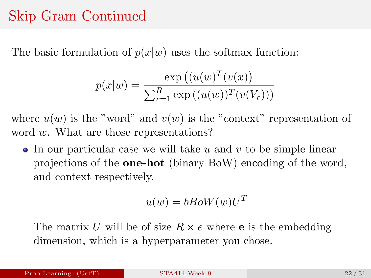### Skip Gram Continued

The basic formulation of  $p(x|w)$  uses the softmax function:

$$
p(x|w) = \frac{\exp ((u(w)^{T}(v(x)))}{\sum_{r=1}^{R} \exp ((u(w))^{T}(v(V_{r})))}
$$

where  $u(w)$  is the "word" and  $v(w)$  is the "context" representation of word w. What are those representations?

 $\bullet$  In our particular case we will take u and v to be simple linear projections of the one-hot (binary BoW) encoding of the word, and context respectively.

$$
u(w) = bBoW(w)U^T
$$

The matrix U will be of size  $R \times e$  where **e** is the embedding dimension, which is a hyperparameter you chose.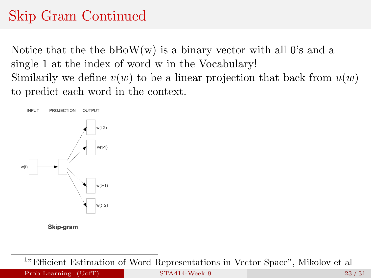# Skip Gram Continued

Notice that the the  $bBoW(w)$  is a binary vector with all 0's and a single 1 at the index of word w in the Vocabulary! Similarily we define  $v(w)$  to be a linear projection that back from  $u(w)$ to predict each word in the context.



<sup>1</sup>"Efficient Estimation of Word Representations in Vector Space", Mikolov et al Prob Learning (UofT) [STA414-Week 9](#page-0-0) 23 / 31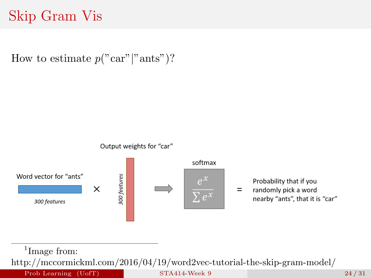# Skip Gram Vis

How to estimate  $p("car" | "ants")$ ?



<sup>1</sup>Image from:

http://mccormickml.com/2016/04/19/word2vec-tutorial-the-skip-gram-model/

Prob Learning (UofT) [STA414-Week 9](#page-0-0) 24 / 31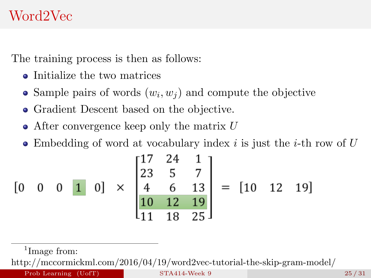The training process is then as follows:

- Initialize the two matrices
- Sample pairs of words  $(w_i, w_j)$  and compute the objective
- Gradient Descent based on the objective.
- $\bullet$  After convergence keep only the matrix U
- $\bullet$  Embedding of word at vocabulary index i is just the i-th row of U

$$
\begin{bmatrix} 0 & 0 & 0 & 1 & 0 \end{bmatrix} \times \begin{bmatrix} 17 & 24 & 1 \\ 23 & 5 & 7 \\ 4 & 6 & 13 \\ 10 & 12 & 19 \\ 11 & 18 & 25 \end{bmatrix} = \begin{bmatrix} 10 & 12 & 19 \end{bmatrix}
$$

<sup>1</sup>Image from:

http://mccormickml.com/2016/04/19/word2vec-tutorial-the-skip-gram-model/

Prob Learning (UofT) [STA414-Week 9](#page-0-0) 25/31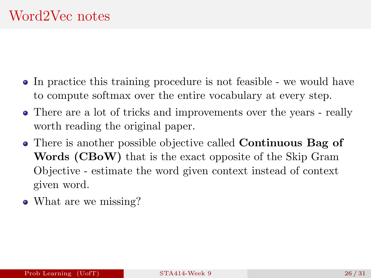- In practice this training procedure is not feasible we would have to compute softmax over the entire vocabulary at every step.
- There are a lot of tricks and improvements over the years really worth reading the original paper.
- There is another possible objective called **Continuous Bag of** Words (CBoW) that is the exact opposite of the Skip Gram Objective - estimate the word given context instead of context given word.
- What are we missing?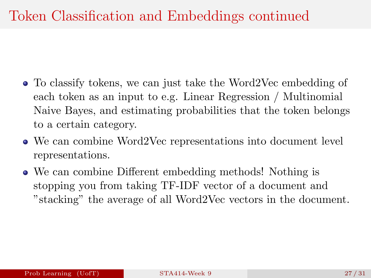- To classify tokens, we can just take the Word2Vec embedding of each token as an input to e.g. Linear Regression / Multinomial Naive Bayes, and estimating probabilities that the token belongs to a certain category.
- We can combine Word2Vec representations into document level representations.
- We can combine Different embedding methods! Nothing is stopping you from taking TF-IDF vector of a document and "stacking" the average of all Word2Vec vectors in the document.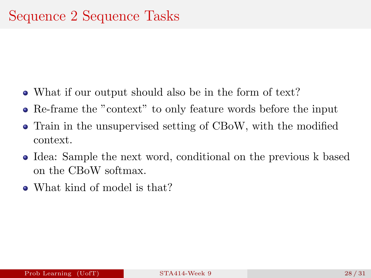- What if our output should also be in the form of text?
- Re-frame the "context" to only feature words before the input
- Train in the unsupervised setting of CBoW, with the modified context.
- Idea: Sample the next word, conditional on the previous k based on the CBoW softmax.
- What kind of model is that?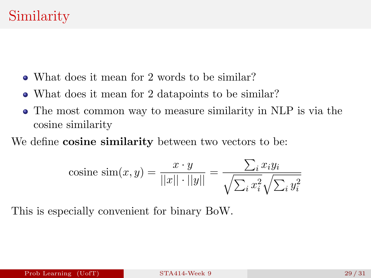- What does it mean for 2 words to be similar?
- What does it mean for 2 datapoints to be similar?
- The most common way to measure similarity in NLP is via the cosine similarity

We define **cosine similarity** between two vectors to be:

cosine sim
$$
(x, y)
$$
 =  $\frac{x \cdot y}{\vert\vert x \vert\vert \cdot \vert\vert y \vert\vert} = \frac{\sum_i x_i y_i}{\sqrt{\sum_i x_i^2} \sqrt{\sum_i y_i^2}}$ 

This is especially convenient for binary BoW.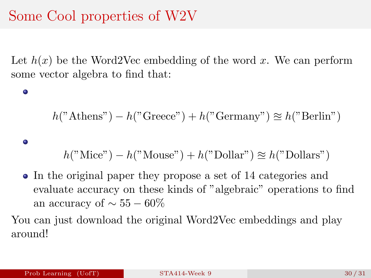# Some Cool properties of W2V

Let  $h(x)$  be the Word2Vec embedding of the word x. We can perform some vector algebra to find that:

#### $h("Athens") - h("Greece") + h("Germany") \approx h("Berlin")$

#### 0

 $\bullet$ 

 $h("Mice") - h("Mouse") + h("Dollar") \approx h("Dollars")$ 

In the original paper they propose a set of 14 categories and evaluate accuracy on these kinds of "algebraic" operations to find an accuracy of  $\sim 55-60\%$ 

You can just download the original Word2Vec embeddings and play around!